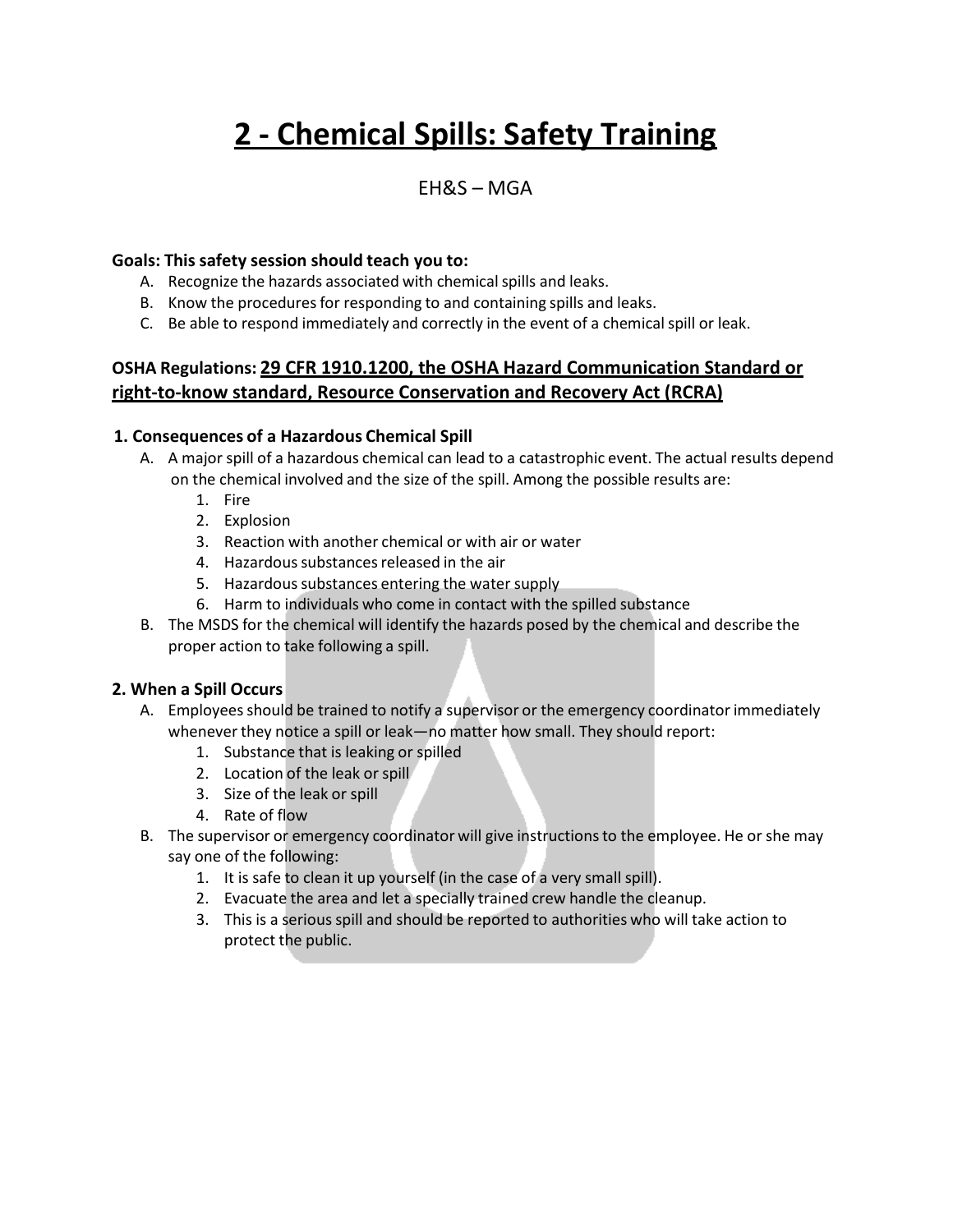# **2 - Chemical Spills: Safety Training**

## EH&S – MGA

#### **Goals: This safety session should teach you to:**

- A. Recognize the hazards associated with chemical spills and leaks.
- B. Know the procedures for responding to and containing spills and leaks.
- C. Be able to respond immediately and correctly in the event of a chemicalspill or leak.

### **OSHA Regulations: 29 CFR 1910.1200, the OSHA Hazard Communication Standard or right-to-know standard, Resource Conservation and Recovery Act (RCRA)**

#### **1. Consequences of a Hazardous Chemical Spill**

- A. A major spill of a hazardous chemical can lead to a catastrophic event. The actual results depend on the chemical involved and the size of the spill. Among the possible results are:
	- 1. Fire
	- 2. Explosion
	- 3. Reaction with another chemical or with air or water
	- 4. Hazardous substances released in the air
	- 5. Hazardous substances entering the water supply
	- 6. Harm to individuals who come in contact with the spilled substance
- B. The MSDS for the chemical will identify the hazards posed by the chemical and describe the proper action to take following a spill.

#### **2. When a Spill Occurs**

- A. Employees should be trained to notify a supervisor or the emergency coordinator immediately whenever they notice a spill or leak—no matter how small. They should report:
	- 1. Substance that is leaking or spilled
	- 2. Location of the leak or spill
	- 3. Size of the leak or spill
	- 4. Rate of flow
- B. The supervisor or emergency coordinator will give instructionsto the employee. He or she may say one of the following:
	- 1. It is safe to clean it up yourself (in the case of a very small spill).
	- 2. Evacuate the area and let a specially trained crew handle the cleanup.
	- 3. This is a serious spill and should be reported to authorities who will take action to protect the public.